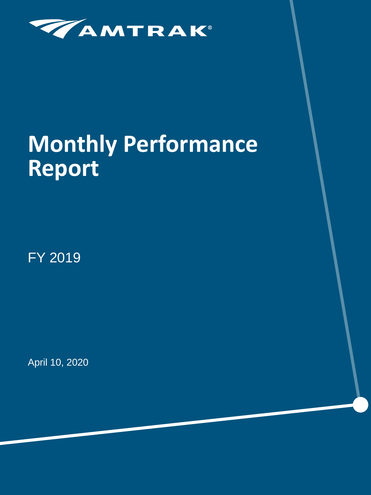

# **Monthly Performance Report**

FY 2019

April 10, 2020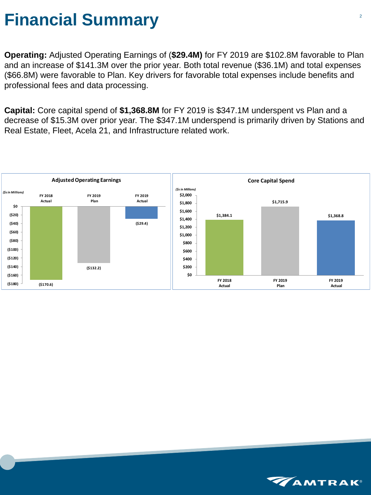#### **Financial Summary**

**Operating:** Adjusted Operating Earnings of (**\$29.4M)** for FY 2019 are \$102.8M favorable to Plan and an increase of \$141.3M over the prior year. Both total revenue (\$36.1M) and total expenses (\$66.8M) were favorable to Plan. Key drivers for favorable total expenses include benefits and professional fees and data processing.

**Capital:** Core capital spend of **\$1,368.8M** for FY 2019 is \$347.1M underspent vs Plan and a decrease of \$15.3M over prior year. The \$347.1M underspend is primarily driven by Stations and Real Estate, Fleet, Acela 21, and Infrastructure related work.



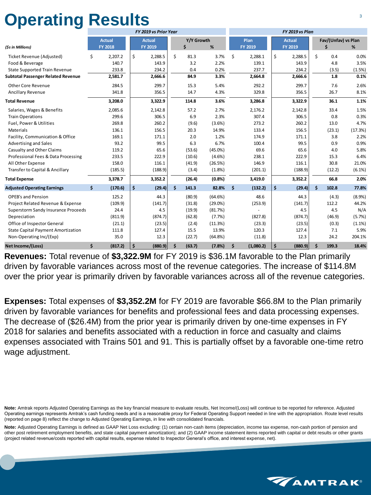# **Operating Results**

|                                            |                |                      | FY 2019 vs Prior Year |              |            | FY 2019 vs Plan |                |                      |                |                    |                     |         |
|--------------------------------------------|----------------|----------------------|-----------------------|--------------|------------|-----------------|----------------|----------------------|----------------|--------------------|---------------------|---------|
|                                            | <b>Actual</b>  |                      | <b>Actual</b>         | Y/Y Growth   |            |                 | Plan           |                      | <b>Actual</b>  |                    | Fav/(Unfav) vs Plan |         |
| (\$s in Millions)                          | <b>FY 2018</b> |                      | <b>FY 2019</b>        | \$           | %          |                 | <b>FY 2019</b> |                      | <b>FY 2019</b> |                    | \$                  | %       |
| Ticket Revenue (Adjusted)                  | \$<br>2,207.2  | \$                   | 2,288.5               | \$<br>81.3   | 3.7%       | \$              | 2,288.1        | $\zeta$              | 2,288.5        | \$                 | 0.4                 | 0.0%    |
| Food & Beverage                            | 140.7          |                      | 143.9                 | 3.2          | 2.2%       |                 | 139.1          |                      | 143.9          |                    | 4.8                 | 3.5%    |
| <b>State Supported Train Revenue</b>       | 233.8          |                      | 234.2                 | 0.4          | 0.2%       |                 | 237.7          |                      | 234.2          |                    | (3.5)               | (1.5%)  |
| <b>Subtotal Passenger Related Revenue</b>  | 2,581.7        |                      | 2,666.6               | 84.9         | 3.3%       |                 | 2,664.8        |                      | 2,666.6        |                    | 1.8                 | 0.1%    |
| <b>Other Core Revenue</b>                  | 284.5          |                      | 299.7                 | 15.3         | 5.4%       |                 | 292.2          |                      | 299.7          |                    | 7.6                 | 2.6%    |
| Ancillary Revenue                          | 341.8          |                      | 356.5                 | 14.7         | 4.3%       |                 | 329.8          |                      | 356.5          |                    | 26.7                | 8.1%    |
| <b>Total Revenue</b>                       | 3,208.0        |                      | 3,322.9               | 114.8        | 3.6%       |                 | 3,286.8        |                      | 3,322.9        |                    | 36.1                | 1.1%    |
| Salaries, Wages & Benefits                 | 2,085.6        |                      | 2,142.8               | 57.2         | 2.7%       |                 | 2,176.2        |                      | 2,142.8        |                    | 33.4                | 1.5%    |
| <b>Train Operations</b>                    | 299.6          |                      | 306.5                 | 6.9          | 2.3%       |                 | 307.4          |                      | 306.5          |                    | 0.8                 | 0.3%    |
| Fuel, Power & Utilities                    | 269.8          |                      | 260.2                 | (9.6)        | (3.6%)     |                 | 273.2          |                      | 260.2          |                    | 13.0                | 4.7%    |
| Materials                                  | 136.1          |                      | 156.5                 | 20.3         | 14.9%      |                 | 133.4          |                      | 156.5          |                    | (23.1)              | (17.3%) |
| Facility, Communication & Office           | 169.1          |                      | 171.1                 | 2.0          | 1.2%       |                 | 174.9          |                      | 171.1          |                    | 3.8                 | 2.2%    |
| <b>Advertising and Sales</b>               | 93.2           |                      | 99.5                  | 6.3          | 6.7%       |                 | 100.4          |                      | 99.5           |                    | 0.9                 | 0.9%    |
| <b>Casualty and Other Claims</b>           | 119.2          |                      | 65.6                  | (53.6)       | $(45.0\%)$ |                 | 69.6           |                      | 65.6           |                    | 4.0                 | 5.8%    |
| Professional Fees & Data Processing        | 233.5          |                      | 222.9                 | (10.6)       | $(4.6\%)$  |                 | 238.1          |                      | 222.9          |                    | 15.3                | 6.4%    |
| All Other Expense                          | 158.0          |                      | 116.1                 | (41.9)       | (26.5%)    |                 | 146.9          |                      | 116.1          |                    | 30.8                | 21.0%   |
| <b>Transfer to Capital &amp; Ancillary</b> | (185.5)        |                      | (188.9)               | (3.4)        | (1.8%)     |                 | (201.1)        |                      | (188.9)        |                    | (12.2)              | (6.1%)  |
| <b>Total Expense</b>                       | 3,378.7        |                      | 3,352.2               | (26.4)       | (0.8%      |                 | 3,419.0        |                      | 3,352.2        |                    | 66.8                | 2.0%    |
| <b>Adjusted Operating Earnings</b>         | \$<br>(170.6)  | $\boldsymbol{\zeta}$ | (29.4)                | \$<br>141.3  | 82.8%      | \$              | (132.2)        | $\boldsymbol{\zeta}$ | (29.4)         | \$                 | 102.8               | 77.8%   |
| <b>OPEB's and Pension</b>                  | 125.2          |                      | 44.3                  | (80.9)       | (64.6%)    |                 | 48.6           |                      | 44.3           |                    | (4.3)               | (8.9%)  |
| Project Related Revenue & Expense          | (109.9)        |                      | (141.7)               | (31.8)       | $(29.0\%)$ |                 | (253.9)        |                      | (141.7)        |                    | 112.2               | 44.2%   |
| <b>Superstorm Sandy Insurance Proceeds</b> | 24.4           |                      | 4.5                   | (19.9)       | (81.7%)    |                 |                |                      | 4.5            |                    | 4.5                 | N/A     |
| Depreciation                               | (811.9)        |                      | (874.7)               | (62.8)       | (7.7%)     |                 | (827.8)        |                      | (874.7)        |                    | (46.9)              | (5.7%)  |
| Office of Inspector General                | (21.1)         |                      | (23.5)                | (2.4)        | (11.3%)    |                 | (23.3)         |                      | (23.5)         |                    | (0.3)               | (1.1%)  |
| <b>State Capital Payment Amortization</b>  | 111.8          |                      | 127.4                 | 15.5         | 13.9%      |                 | 120.3          |                      | 127.4          |                    | 7.1                 | 5.9%    |
| Non-Operating Inc/(Exp)                    | 35.0           |                      | 12.3                  | (22.7)       | (64.8%)    |                 | (11.8)         |                      | 12.3           |                    | 24.2                | 204.1%  |
| Net Income/(Loss)                          | \$<br>(817.2)  | \$                   | (880.9)               | \$<br>(63.7) | (7.8%)     | \$              | (1,080.2)      | $\dot{\mathsf{s}}$   | (880.9)        | $\dot{\mathsf{S}}$ | 199.3               | 18.4%   |

**Revenues:** Total revenue of **\$3,322.9M** for FY 2019 is \$36.1M favorable to the Plan primarily driven by favorable variances across most of the revenue categories. The increase of \$114.8M over the prior year is primarily driven by favorable variances across all of the revenue categories.

**Expenses:** Total expenses of **\$3,352.2M** for FY 2019 are favorable \$66.8M to the Plan primarily driven by favorable variances for benefits and professional fees and data processing expenses. The decrease of (\$26.4M) from the prior year is primarily driven by one-time expenses in FY 2018 for salaries and benefits associated with a reduction in force and casualty and claims expenses associated with Trains 501 and 91. This is partially offset by a favorable one-time retro wage adjustment.

**Note:** Amtrak reports Adjusted Operating Earnings as the key financial measure to evaluate results, Net Income/(Loss) will continue to be reported for reference. Adjusted Operating earnings represents Amtrak's cash funding needs and is a reasonable proxy for Federal Operating Support needed in line with the appropriation. Route level results (reported on page 8) reflect the change to Adjusted Operating Earnings, in line with consolidated financials.

**Note:** Adjusted Operating Earnings is defined as GAAP Net Loss excluding: (1) certain non-cash items (depreciation, income tax expense, non-cash portion of pension and other post retirement employment benefits, and state capital payment amortization); and (2) GAAP income statement items reported with capital or debt results or other grants (project related revenue/costs reported with capital results, expense related to Inspector General's office, and interest expense, net).

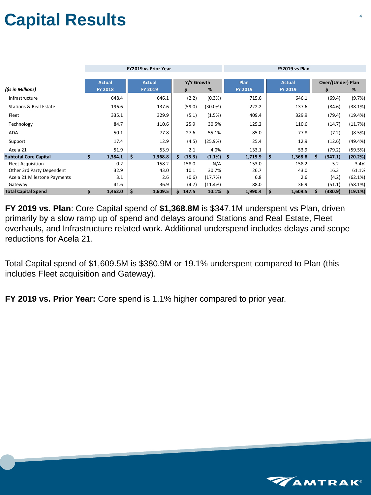# **Capital Results**

|                                   |    |                                 |         | <b>FY2019 vs Prior Year</b>     |     |                       |         | FY2019 vs Plan |                        |    |                                 |                    |                                    |         |
|-----------------------------------|----|---------------------------------|---------|---------------------------------|-----|-----------------------|---------|----------------|------------------------|----|---------------------------------|--------------------|------------------------------------|---------|
| (\$s in Millions)                 |    | <b>Actual</b><br><b>FY 2018</b> |         | <b>Actual</b><br><b>FY 2019</b> |     | Y/Y Growth<br>%<br>\$ |         |                | Plan<br><b>FY 2019</b> |    | <b>Actual</b><br><b>FY 2019</b> |                    | <b>Over/(Under) Plan</b><br>%<br>S |         |
| Infrastructure                    |    | 648.4                           |         | 646.1                           |     | (2.2)                 | (0.3%)  |                | 715.6                  |    | 646.1                           |                    | (69.4)                             | (9.7%)  |
| <b>Stations &amp; Real Estate</b> |    | 196.6                           |         | 137.6                           |     | (59.0)                | (30.0%) |                | 222.2                  |    | 137.6                           |                    | (84.6)                             | (38.1%) |
| Fleet                             |    | 335.1                           |         | 329.9                           |     | (5.1)                 | (1.5%)  |                | 409.4                  |    | 329.9                           |                    | (79.4)                             | (19.4%) |
| Technology                        |    | 84.7                            |         | 110.6                           |     | 25.9                  | 30.5%   |                | 125.2                  |    | 110.6                           |                    | (14.7)                             | (11.7%) |
| ADA                               |    | 50.1                            |         | 77.8                            |     | 27.6                  | 55.1%   |                | 85.0                   |    | 77.8                            |                    | (7.2)                              | (8.5%)  |
| Support                           |    | 17.4                            |         | 12.9                            |     | (4.5)                 | (25.9%) |                | 25.4                   |    | 12.9                            |                    | (12.6)                             | (49.4%) |
| Acela 21                          |    | 51.9                            |         | 53.9                            |     | 2.1                   | 4.0%    |                | 133.1                  |    | 53.9                            |                    | (79.2)                             | (59.5%) |
| <b>Subtotal Core Capital</b>      | \$ | 1,384.1                         | $\zeta$ | 1,368.8                         | \$. | (15.3)                | (1.1%)  | \$             | 1,715.9                | \$ | 1,368.8                         | $\mathsf{\dot{S}}$ | (347.1)                            | (20.2%) |
| <b>Fleet Acquisition</b>          |    | 0.2                             |         | 158.2                           |     | 158.0                 | N/A     |                | 153.0                  |    | 158.2                           |                    | 5.2                                | 3.4%    |
| Other 3rd Party Dependent         |    | 32.9                            |         | 43.0                            |     | 10.1                  | 30.7%   |                | 26.7                   |    | 43.0                            |                    | 16.3                               | 61.1%   |
| Acela 21 Milestone Payments       |    | 3.1                             |         | 2.6                             |     | (0.6)                 | (17.7%) |                | 6.8                    |    | 2.6                             |                    | (4.2)                              | (62.1%) |
| Gateway                           |    | 41.6                            |         | 36.9                            |     | (4.7)                 | (11.4%) |                | 88.0                   |    | 36.9                            |                    | (51.1)                             | (58.1%) |
| <b>Total Capital Spend</b>        | \$ | 1,462.0                         | $\zeta$ | 1,609.5                         |     | 147.5                 | 10.1%   | \$             | 1,990.4                | \$ | 1,609.5                         | \$                 | (380.9)                            | (19.1%) |

**FY 2019 vs. Plan**: Core Capital spend of **\$1,368.8M** is \$347.1M underspent vs Plan, driven primarily by a slow ramp up of spend and delays around Stations and Real Estate, Fleet overhauls, and Infrastructure related work. Additional underspend includes delays and scope reductions for Acela 21.

Total Capital spend of \$1,609.5M is \$380.9M or 19.1% underspent compared to Plan (this includes Fleet acquisition and Gateway).

**FY 2019 vs. Prior Year:** Core spend is 1.1% higher compared to prior year.

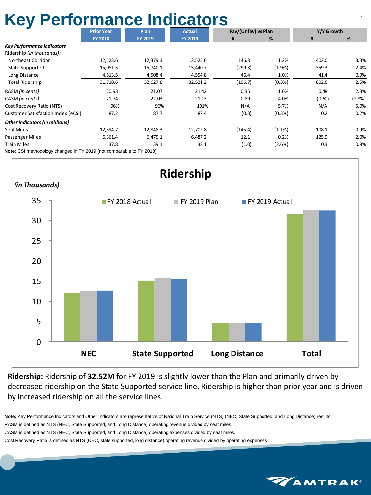### **Key Performance Indicators** <sup>5</sup>

|                                                                      | <b>Prior Year</b> | Plan           | <b>Actual</b>  | Fav/(Unfav) vs Plan |           | Y/Y Growth |        |  |
|----------------------------------------------------------------------|-------------------|----------------|----------------|---------------------|-----------|------------|--------|--|
|                                                                      | <b>FY 2018</b>    | <b>FY 2019</b> | <b>FY 2019</b> | #                   | %         | #          | %      |  |
| <b>Key Performance Indicators</b>                                    |                   |                |                |                     |           |            |        |  |
| Ridership (in thousands):                                            |                   |                |                |                     |           |            |        |  |
| Northeast Corridor                                                   | 12,123.6          | 12,379.3       | 12,525.6       | 146.3               | 1.2%      | 402.0      | 3.3%   |  |
| <b>State Supported</b>                                               | 15,081.5          | 15,740.1       | 15,440.7       | (299.3)             | (1.9%     | 359.3      | 2.4%   |  |
| Long Distance                                                        | 4,513.5           | 4,508.4        | 4,554.8        | 46.4                | 1.0%      | 41.4       | 0.9%   |  |
| <b>Total Ridership</b>                                               | 31,718.6          | 32,627.8       | 32,521.2       | (106.7)             | (0.3% )   | 802.6      | 2.5%   |  |
| RASM (in cents)                                                      | 20.93             | 21.07          | 21.42          | 0.35                | 1.6%      | 0.48       | 2.3%   |  |
| CASM (in cents)                                                      | 21.74             | 22.03          | 21.13          | 0.89                | 4.0%      | (0.60)     | (2.8%) |  |
| Cost Recovery Ratio (NTS)                                            | 96%               | 96%            | 101%           | N/A                 | 5.7%      | N/A        | 5.0%   |  |
| <b>Customer Satisfaction Index (eCSI)</b>                            | 87.2              | 87.7           | 87.4           | (0.3)               | (0.3%)    | 0.2        | 0.2%   |  |
| <b>Other Indicators (in millions)</b>                                |                   |                |                |                     |           |            |        |  |
| <b>Seat Miles</b>                                                    | 12,594.7          | 12,848.3       | 12,702.8       | (145.4)             | $(1.1\%)$ | 108.1      | 0.9%   |  |
| Passenger Miles                                                      | 6,361.4           | 6,475.1        | 6,487.2        | 12.1                | 0.2%      | 125.9      | 2.0%   |  |
| <b>Train Miles</b>                                                   | 37.8              | 39.1           | 38.1           | (1.0)               | (2.6%)    | 0.3        | 0.8%   |  |
| Note: CSI methodology changed in FY 2019 (not comparable to FY 2018) |                   |                |                |                     |           |            |        |  |



**Ridership:** Ridership of **32.52M** for FY 2019 is slightly lower than the Plan and primarily driven by decreased ridership on the State Supported service line. Ridership is higher than prior year and is driven by increased ridership on all the service lines.

**Note:** Key Performance Indicators and Other Indicators are representative of National Train Service (NTS) (NEC, State Supported, and Long Distance) results RASM is defined as NTS (NEC, State Supported, and Long Distance) operating revenue divided by seat miles.

CASM is defined as NTS (NEC, State Supported, and Long Distance) operating expenses divided by seat miles.

Cost Recovery Ratio is defined as NTS (NEC, state supported, long distance) operating revenue divided by operating expenses

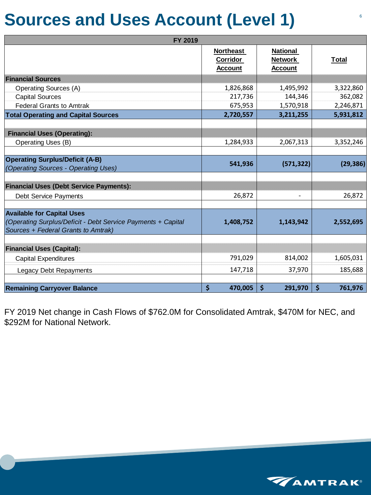#### **Sources and Uses Account (Level 1)**

| <b>FY 2019</b>                                               |                                                |                                                     |                        |
|--------------------------------------------------------------|------------------------------------------------|-----------------------------------------------------|------------------------|
|                                                              | <b>Northeast</b><br>Corridor<br><b>Account</b> | <b>National</b><br><b>Network</b><br><b>Account</b> | <b>Total</b>           |
| <b>Financial Sources</b>                                     |                                                |                                                     |                        |
| <b>Operating Sources (A)</b>                                 | 1,826,868                                      | 1,495,992                                           | 3,322,860              |
| <b>Capital Sources</b>                                       | 217,736                                        | 144,346                                             | 362,082                |
| <b>Federal Grants to Amtrak</b>                              | 675,953                                        | 1,570,918                                           | 2,246,871              |
| <b>Total Operating and Capital Sources</b>                   | 2,720,557                                      | 3,211,255                                           | 5,931,812              |
|                                                              |                                                |                                                     |                        |
| <b>Financial Uses (Operating):</b>                           |                                                |                                                     |                        |
| <b>Operating Uses (B)</b>                                    | 1,284,933                                      | 2,067,313                                           | 3,352,246              |
|                                                              |                                                |                                                     |                        |
| <b>Operating Surplus/Deficit (A-B)</b>                       | 541,936                                        | (571, 322)                                          | (29, 386)              |
| (Operating Sources - Operating Uses)                         |                                                |                                                     |                        |
|                                                              |                                                |                                                     |                        |
| <b>Financial Uses (Debt Service Payments):</b>               |                                                |                                                     |                        |
| <b>Debt Service Payments</b>                                 | 26,872                                         |                                                     | 26,872                 |
| <b>Available for Capital Uses</b>                            |                                                |                                                     |                        |
| (Operating Surplus/Deficit - Debt Service Payments + Capital | 1,408,752                                      | 1,143,942                                           | 2,552,695              |
| Sources + Federal Grants to Amtrak)                          |                                                |                                                     |                        |
|                                                              |                                                |                                                     |                        |
| <b>Financial Uses (Capital):</b>                             |                                                |                                                     |                        |
| <b>Capital Expenditures</b>                                  | 791,029                                        | 814,002                                             | 1,605,031              |
| <b>Legacy Debt Repayments</b>                                | 147,718                                        | 37,970                                              | 185,688                |
|                                                              |                                                |                                                     |                        |
| <b>Remaining Carryover Balance</b>                           | $\boldsymbol{\zeta}$<br>470,005                | $\boldsymbol{\zeta}$<br>291,970                     | $\varsigma$<br>761,976 |

FY 2019 Net change in Cash Flows of \$762.0M for Consolidated Amtrak, \$470M for NEC, and \$292M for National Network.

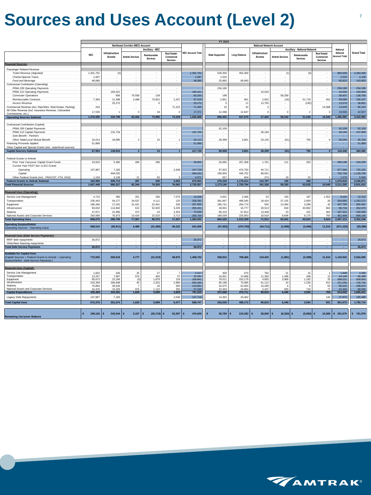### **Sources and Uses Account (Level 2)** <sup>7</sup>

|                                                               |                     | FY 2019                  |                                  |                          |                          |                          |                        |                      |                                 |                        |                              |                          |                      |                       |
|---------------------------------------------------------------|---------------------|--------------------------|----------------------------------|--------------------------|--------------------------|--------------------------|------------------------|----------------------|---------------------------------|------------------------|------------------------------|--------------------------|----------------------|-----------------------|
|                                                               |                     |                          | Northeast Corridor (NEC) Account |                          |                          |                          |                        |                      | <b>National Network Account</b> |                        |                              |                          |                      |                       |
|                                                               |                     |                          |                                  | Ancillary - NEC          |                          |                          |                        |                      |                                 |                        | Ancillary - National Network |                          | National             |                       |
|                                                               |                     | Infrastructure           |                                  |                          |                          | <b>NEC Account Total</b> |                        |                      | Infrastructure                  |                        |                              |                          | Network              | <b>Grand Total</b>    |
|                                                               | <b>NEC</b>          |                          |                                  | Reimbursable             | Real Estate/             |                          | <b>State Supported</b> | <b>Long Distance</b> |                                 |                        | Reimbursable                 | <b>Real Estate/</b>      | <b>Account Total</b> |                       |
|                                                               |                     | Access                   | <b>Amtrak Services</b>           | <b>Services</b>          | Commercial               |                          |                        |                      | Access                          | <b>Amtrak Services</b> | <b>Services</b>              | Commercial               |                      |                       |
|                                                               |                     |                          |                                  |                          | Services                 |                          |                        |                      |                                 |                        |                              | Services                 |                      |                       |
| <b>Financial Sources:</b>                                     |                     |                          |                                  |                          |                          |                          |                        |                      |                                 |                        |                              |                          |                      |                       |
| Passenger Related Revenue                                     |                     |                          |                                  |                          |                          |                          |                        |                      |                                 |                        |                              |                          |                      |                       |
|                                                               | 1,301,752           |                          | $\sim$                           | $\sim$                   | $\sim$                   |                          | 528,350                | 454,300              | $\sim$                          |                        |                              | $\sim$                   | 982,649              | 2,284,400             |
| Ticket Revenue (Adjusted)                                     |                     | (0)                      |                                  |                          |                          | 1,301,752                |                        |                      |                                 | (1)                    | (0)                          |                          |                      |                       |
| Charter/Special Trains                                        | 1,587               | $\sim$                   | $\sim$                           | $\sim$                   | $\sim$                   | 1,587                    | 2,520                  |                      | $\sim$                          | $\sim$                 | $\overline{\phantom{a}}$     | $\sim$                   | 2,520                | 4,108                 |
| Food and Beverage                                             | 48,080              | $\sim$                   | $\sim$                           | $\sim$                   | $\sim$                   | 48,080                   | 25,883                 | 69,940               | $\overline{\phantom{a}}$        | $\sim$                 | $\sim$                       | $\sim$                   | 95,823               | 143,903               |
| Contractual Contribution (Operating)                          |                     |                          |                                  |                          |                          |                          |                        |                      |                                 |                        |                              |                          |                      |                       |
| PRIIA 209 Operating Payments                                  | $\sim$              | $\sim$                   | $\sim$                           | $\sim$                   | $\sim$                   | ÷                        | 234,180                | $\sim$               | $\sim$                          | $\sim$                 | $\sim$                       | $\sim$                   | 234,180              | 234,180               |
| PRIIA 212 Operating Payments                                  | $\sim$              | 183,421                  | $\sim$                           | $\sim$                   | $\overline{\phantom{a}}$ | 183,421                  |                        | $\sim$               | 10,520                          |                        | $\overline{\phantom{a}}$     | $\overline{\phantom{a}}$ | 10,520               | 193,940               |
|                                                               |                     |                          |                                  |                          |                          |                          |                        |                      |                                 |                        |                              |                          |                      |                       |
| <b>Commuter Operations</b>                                    |                     | 606                      | 79,558                           | 139                      | $\sim$                   | 80,303                   | 198                    |                      |                                 | 58,259                 | $\sim$                       | ٠                        | 58,457               | 138,760               |
| Reimbursable Contracts                                        | 7,393               | 11,498                   | 2,498                            | 73,822                   | 2,207                    | 97,418                   | 2,951                  | 661                  | 2,922                           | (16)                   | 51,719                       | 452                      | 58,689               | 156,107               |
| <b>Access Revenue</b>                                         |                     | 25,272                   | $\overline{\phantom{a}}$         | O                        |                          | 25,272                   | 5                      | 11                   | 13,755                          |                        | (192)                        |                          | 13,579               | 38,851                |
| Commercial Revenue (incl. Pipe/Wire, Real Estate, Parking)    | 243                 | $\overline{\phantom{a}}$ | $\sim$                           | $\sim$                   | 71,222                   | 71,465                   | 15                     | 32                   | 3                               |                        | $\overline{\phantom{a}}$     | 14,588                   | 14,639               | 86,104                |
| All Other Revenue (incl. Insurance Revenue, Cobranded         |                     |                          |                                  |                          |                          |                          |                        |                      |                                 |                        |                              |                          |                      |                       |
| Commissions, etc.)                                            | 17,535              | -1                       | $\mathbf 0$                      | 34                       | $\mathbf 0$              | 17,571                   | 12,298                 | 12,637               | 0                               | $\mathbf{0}$           | $\overline{2}$               | $\mathbf 0$              | 24,936               | 42,507                |
| <b>Operating Sources Subtotal</b>                             | 1,376,590           | 220,798                  | 82,056                           | 73,995                   | 73,429                   | 1,826,868                | 806,402                | 537,579              | 27,200                          | 58,242                 | 51,528                       | 15,040                   | ,495,992             | 3,322,860             |
|                                                               |                     |                          |                                  |                          |                          |                          |                        |                      |                                 |                        |                              |                          |                      |                       |
|                                                               |                     |                          |                                  |                          |                          |                          |                        |                      |                                 |                        |                              |                          |                      |                       |
| Contractual Contribution (Capital)                            |                     |                          |                                  |                          |                          |                          |                        |                      |                                 |                        |                              |                          |                      |                       |
| PRIIA 209 Capital Payments                                    |                     |                          | $\overline{\phantom{a}}$         | $\overline{\phantom{a}}$ | ٠                        |                          | 62,109                 |                      |                                 |                        | ٠                            | ٠                        | 62,109               | 62,109                |
| PRIIA 212 Capital Payments                                    | $\sim$              | 131,734                  | $\sim$                           | $\sim$                   | $\sim$                   | 131,734                  |                        | $\sim$               | 26,194                          | $\sim$                 | $\sim$                       | $\sim$                   | 26,194               | 157,928               |
| Sole Benefit - Partners                                       |                     |                          | $\sim$                           | $\sim$                   | $\sim$                   |                          |                        |                      |                                 | $\sim$                 | $\sim$                       | $\sim$                   | ٠                    | <b>A</b>              |
| Other State/Local Mutual Benefit                              | 16,014              | 18,080                   | $\overline{2}$                   | 15                       |                          | 34,112                   | 28,399                 | 3,801                | 23,145                          | (51)                   | 750                          | $\mathbf 0$              | 56,044               | 90,156                |
|                                                               |                     |                          |                                  | $\sim$                   | $\sim$                   |                          |                        |                      |                                 |                        | $\overline{\phantom{a}}$     | $\sim$                   | ×                    |                       |
| Financing Proceeds Applied                                    | 51,889              |                          | $\overline{\phantom{a}}$         |                          |                          | 51,889                   |                        | $\sim$               |                                 |                        |                              |                          |                      | 51,889                |
| Other Capital and Special Grants (incl., state/local sources) |                     |                          |                                  | ۰.                       | ٠                        |                          |                        | $\sim$               |                                 |                        | ٠                            | ٠                        |                      | - 1                   |
| <b>Capital Sources Subtotal</b>                               | 67,904              | 149,815                  | $\overline{2}$                   | 15                       | $\overline{1}$           | 217,736                  | 90,508                 | 3,801                | 49,339                          | (51)                   | 750                          | $\mathbf{0}$             | 144,346              | 362,082               |
|                                                               |                     |                          |                                  |                          |                          |                          |                        |                      |                                 |                        |                              |                          |                      |                       |
| <b>Federal Grants to Amtrak</b>                               |                     |                          |                                  |                          |                          |                          |                        |                      |                                 |                        |                              |                          |                      |                       |
| Prior Year Carryover Capital Grant Funds                      | 23,910              | 5,360                    | 266                              | 296                      | $\overline{\phantom{a}}$ | 29,832                   | 26,695                 | 257,308              | 1,761                           | 111                    | 323                          | $\overline{\phantom{a}}$ | 286,198              | 316,029               |
|                                                               |                     |                          |                                  |                          |                          |                          |                        |                      |                                 |                        |                              |                          |                      |                       |
| Current Year FAST Sec 11101 Grants                            |                     |                          |                                  |                          |                          |                          |                        |                      |                                 |                        |                              |                          |                      |                       |
| Operating                                                     | 137,887             | 7,183                    | $\sim$                           | $\sim$                   | 2,648                    | 147,718                  | 57,923                 | 474,750              | 44,711                          | $\sim$                 | $\sim$                       | $\sim$                   | 577,384              | 725,102               |
| Capital                                                       |                     | 494,032                  | $\sim$                           | $\sim$                   | $\sim$                   | 494,032                  | 190,955                | 446,752              | 68,051                          |                        | $\overline{\phantom{a}}$     | $\overline{\phantom{a}}$ | 705,758              | 1,199,790             |
| Other Federal Grants (incl., FRA/OST, FTA, DHS)               | 1,159               | 3,138                    | 21                               | 50                       | 3                        | 4,371                    | 657                    | 604                  | 274                             | 19                     | 23                           | $\overline{1}$           | 1,578                | 5,949                 |
| <b>Federal Grants to Amtrak Subtotal</b>                      | 162,956             | 509,713                  | 287                              | 345                      | 2,652                    | 675,953                  | 276,230                | 1,179,414            | 114,797                         | 130                    | 346                          | $\overline{1}$           | 1,570,918            | 2,246,871             |
| <b>Total Financial Sources</b>                                | 1,607,449           | 880,327                  | 82,344                           | 74,355                   | 76,081                   | 2,720,557                | 1,173,140              | 1,720,794            | 191,336                         | 58,320                 | 52,625                       | 15,040                   | 3,211,255            | 5,931,812             |
|                                                               |                     |                          |                                  |                          |                          |                          |                        |                      |                                 |                        |                              |                          |                      |                       |
|                                                               |                     |                          |                                  |                          |                          |                          |                        |                      |                                 |                        |                              |                          |                      |                       |
| <b>Financial Uses (Operating):</b>                            |                     |                          |                                  |                          |                          |                          |                        |                      |                                 |                        |                              |                          |                      |                       |
| Service Line Management                                       | 4,715               | 380                      | 201                              | 336                      | 7,575                    | 13,208                   | 4,651                  | 2,466                | 52                              | 193                    | 187                          | 1,552                    | 9,102                | 22,310                |
| Transportation                                                | 235,443             | 54,177                   | 34,537                           | 4,111                    | 125                      | 328,392                  | 381,667                | 495,545              | 18,424                          | 37,125                 | 2,093                        | 26                       | 934,880              | 1,263,272             |
| Equipment                                                     | 186,346             | 17,241                   | 31,421                           | 22,441                   | 206                      | 257,655                  | 185,741                | 204,774              | 555                             | 13,394                 | 3,289                        | 42                       | 407,795              | 665,451               |
| Infrastructure                                                | 83,632              | 114,942                  | 612                              | 52,920                   | 3,235                    | 255,341                  | 18,001                 | 15,777               | 20,513                          | 818                    | 40,962                       | 663                      | 96,734               | 352,075               |
|                                                               |                     |                          |                                  |                          |                          |                          |                        |                      |                                 |                        |                              |                          |                      |                       |
| Stations                                                      | 47,871              | 22,996                   | 373                              | 43                       | 2,353                    | 73,636                   | 85,224                 | 67,814               | 13,448                          | 23                     | 322                          | 482                      | 167,312              | 240,949               |
| National Assets and Corporate Services                        | 250,068             | 76,973                   | 10,424                           | 15,523                   | 3,712                    | 356,700                  | 189,039                | 225,953              | 18,919                          | 8,648                  | 8,170                        | 760                      | 451,489              | 808,190               |
| <b>Total Operating Uses</b>                                   | 808,075             | 286,709                  | 77,567                           | 95,375                   | 17,207                   | 1,284,933                | 864,325                | 1,012,329            | 71,912                          | 60,201                 | 55,023                       | 3,524                    | 2,067,313            | 3,352,246             |
| <b>Operating Surplus/Deficit</b>                              |                     |                          |                                  |                          |                          |                          |                        |                      |                                 |                        |                              |                          |                      |                       |
|                                                               | 568,515             | (65, 911)                | 4,489                            | (21, 380)                | 56,222                   | 541,936                  | (57, 923)              | (474, 750)           | (44, 711)                       | (1,959)                | (3, 495)                     | 11,515                   | (571, 322)           | (29, 386)             |
| Operating Sources - Operating Uses)                           |                     |                          |                                  |                          |                          |                          |                        |                      |                                 |                        |                              |                          |                      |                       |
|                                                               |                     |                          |                                  |                          |                          |                          |                        |                      |                                 |                        |                              |                          |                      |                       |
| <b>Financial Uses (Debt Service Payments):</b>                |                     |                          |                                  |                          |                          |                          |                        |                      |                                 |                        |                              |                          |                      |                       |
| RRIF debt repayments                                          | 26,872              |                          |                                  | $\overline{\phantom{a}}$ | $\sim$                   | 26,872                   |                        |                      | $\overline{\phantom{a}}$        |                        | $\overline{\phantom{a}}$     | $\sim$                   | ×.                   | 26,872                |
| Other/New financing repayments                                |                     | $\sim$                   | $\sim$                           | $\sim$                   | $\sim$                   |                          | $\sim$                 | $\sim$               | $\sim$                          | $\sim$                 | $\sim$                       | $\sim$                   | ×.                   | a.                    |
| <b>Total Debt Service Payments</b>                            | 26,872              | $\sim$                   | $\sim$                           | $\sim$                   | $\sim$                   | 26,872                   | $\sim$                 | $\sim$               | $\sim$                          | $\sim$                 | $\sim$                       | $\sim$                   | $\sim$               | 26,872                |
|                                                               |                     |                          |                                  |                          |                          |                          |                        |                      |                                 |                        |                              |                          |                      |                       |
| <b>Available for Capital Uses</b>                             |                     |                          |                                  |                          |                          |                          |                        |                      |                                 |                        |                              |                          |                      |                       |
| (Capital Sources + Federal Grants to Amtrak + Operating       | 772,502             | 593,618                  | 4,777                            | (21, 019)                | 58,875                   | 1,408,752                | 308,815                | 708,465              | 119,425                         | (1,881)                | (2, 398)                     | 11,516                   | 1,143,942            | 2,552,695             |
| Surplus/Deficit - Debt Service Payments )                     |                     |                          |                                  |                          |                          |                          |                        |                      |                                 |                        |                              |                          |                      |                       |
|                                                               |                     |                          |                                  |                          |                          |                          |                        |                      |                                 |                        |                              |                          |                      |                       |
|                                                               |                     |                          |                                  |                          |                          |                          |                        |                      |                                 |                        |                              |                          |                      |                       |
| <b>Financial Uses (Capital):</b>                              |                     |                          |                                  |                          |                          |                          |                        |                      |                                 |                        |                              |                          |                      |                       |
| Service Line Management                                       | 1,832               | 426                      | 25                               | 27                       | $\overline{7}$           | 2,317                    | 459                    | 670                  | 782                             | 21                     | 15                           | $\overline{1}$           | 1,949                | 4,266                 |
| Transportation                                                | 13,257              | 7,997                    | 570                              | 400                      | 57                       | 22,281                   | 16,831                 | 13,968               | 11,360                          | 1,499                  | 438                          | 12                       | 44,108               | 66,389                |
| Equipment                                                     | 85,673              | 22,169                   | (3)                              | 1,879                    | 124                      | 109,841                  | 79,011                 | 310,179              | 4,855                           | 3,969                  | 1,182                        | 25                       | 399,221              | 509,063               |
| Infrastructure                                                | 233,358             | 266,848                  | 45                               | 2,252                    | 2,986                    | 505,490                  | 85,188                 | 73,085               | 61,112                          | 24                     | 1,235                        | 612                      | 221,256              | 726,745               |
| Stations                                                      | 76,894              | 36,626                   | $\overline{7}$                   | 18                       | 305                      | 113,851                  | 32,675                 | 52,004               | 10,269                          | 6                      | 5                            | 63                       | 95,022               | 208,873               |
| National Assets and Corporate Services                        | 24,476              | 10,326                   | 976                              | 1,122                    | 350                      | 37,249                   | 23,493                 | 24,804               | 2,437                           | 920                    | 719                          | 72                       | 52,445               | 89,695                |
| <b>Capital Expenditures</b>                                   | 435,489             | 344,391                  | 1,620                            | 5,699                    | 3,829                    | 791,029                  | 237,658                | 474,711              | 90,815                          | 6,440                  | 3,594                        | 784                      | 814,002              | 1,605,031             |
|                                                               |                     |                          |                                  |                          |                          |                          |                        |                      |                                 |                        |                              |                          |                      |                       |
| Legacy Debt Repayments                                        | 137,887             | 7,183                    | $\sim$                           | $\overline{\phantom{a}}$ | 2,648                    | 147,718                  | 14,362                 | 23,462               | $\sim$                          | $\sim$                 | $\sim$                       | 146                      | 37,970               | 185,688               |
| <b>Total Capital Uses</b>                                     | 573,376             | 351,574                  | 1,620                            | 5,699                    | 6,477                    | 938,747                  | 252,020                | 498,172              | 90,815                          | 6,440                  | 3,594                        | 931                      | 851,972              | 1,790,719             |
|                                                               |                     |                          |                                  |                          |                          |                          |                        |                      |                                 |                        |                              |                          |                      |                       |
|                                                               |                     |                          |                                  |                          |                          |                          |                        |                      |                                 |                        |                              |                          |                      |                       |
|                                                               |                     |                          |                                  |                          |                          |                          |                        |                      |                                 |                        |                              |                          |                      |                       |
|                                                               | $199, 126$ \$<br>s. | 242,044                  | 3,157<br>\$                      | $(26, 719)$ \$<br>s.     | $52,397$ \$              | 470,005                  | l \$<br>56,795         | 210,292<br>- \$      | l \$<br>28,609                  | $(8,320)$ \$<br>l \$   | $(5,992)$ \$                 | 10,586                   | \$291,970            | $\frac{1}{2}$ 761,976 |
| <b>Remaining Carryover Balance</b>                            |                     |                          |                                  |                          |                          |                          |                        |                      |                                 |                        |                              |                          |                      |                       |